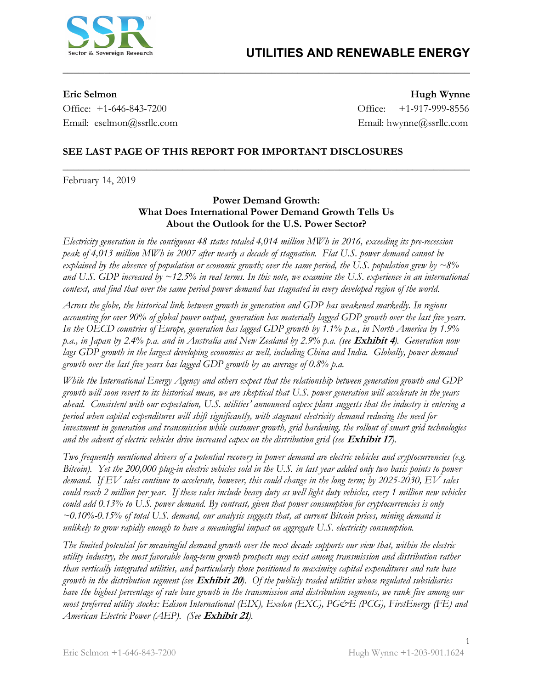

Office: +1-646-843-7200 Office: +1-917-999-8556 Email: eselmon@ssrllc.com Email: hwynne@ssrllc.com

**Eric Selmon Hugh Wynne**

## **SEE LAST PAGE OF THIS REPORT FOR IMPORTANT DISCLOSURES**

February 14, 2019

### **Power Demand Growth: What Does International Power Demand Growth Tells Us About the Outlook for the U.S. Power Sector?**

**\_\_\_\_\_\_\_\_\_\_\_\_\_\_\_\_\_\_\_\_\_\_\_\_\_\_\_\_\_\_\_\_\_\_\_\_\_\_\_\_\_\_\_\_\_\_\_\_\_\_\_\_\_\_\_\_\_\_\_\_\_\_\_\_\_\_\_\_\_\_\_\_\_\_\_\_\_\_**

**\_\_\_\_\_\_\_\_\_\_\_\_\_\_\_\_\_\_\_\_\_\_\_\_\_\_\_\_\_\_\_\_\_\_\_\_\_\_\_\_\_\_\_\_\_\_\_\_\_\_\_\_\_\_\_\_\_\_\_\_\_\_\_\_\_\_\_\_\_\_\_\_\_\_\_\_\_\_** 

*Electricity generation in the contiguous 48 states totaled 4,014 million MWh in 2016, exceeding its pre-recession peak of 4,013 million MWh in 2007 after nearly a decade of stagnation. Flat U.S. power demand cannot be explained by the absence of population or economic growth; over the same period, the U.S. population grew by ~8% and U.S. GDP increased by ~12.5% in real terms. In this note, we examine the U.S. experience in an international context, and find that over the same period power demand has stagnated in every developed region of the world.* 

*Across the globe, the historical link between growth in generation and GDP has weakened markedly. In regions accounting for over 90% of global power output, generation has materially lagged GDP growth over the last five years. In the OECD countries of Europe, generation has lagged GDP growth by 1.1% p.a., in North America by 1.9% p.a., in Japan by 2.4% p.a. and in Australia and New Zealand by 2.9% p.a. (see* **Exhibit 4***). Generation now*  lags GDP growth in the largest developing economies as well, including China and India. Globally, power demand *growth over the last five years has lagged GDP growth by an average of 0.8% p.a.*

*While the International Energy Agency and others expect that the relationship between generation growth and GDP growth will soon revert to its historical mean, we are skeptical that U.S. power generation will accelerate in the years ahead. Consistent with our expectation, U.S. utilities' announced capex plans suggests that the industry is entering a period when capital expenditures will shift significantly, with stagnant electricity demand reducing the need for investment in generation and transmission while customer growth, grid hardening, the rollout of smart grid technologies and the advent of electric vehicles drive increased capex on the distribution grid (see* **Exhibit 17***).* 

*Two frequently mentioned drivers of a potential recovery in power demand are electric vehicles and cryptocurrencies (e.g. Bitcoin). Yet the 200,000 plug-in electric vehicles sold in the U.S. in last year added only two basis points to power demand. If EV sales continue to accelerate, however, this could change in the long term; by 2025-2030, EV sales could reach 2 million per year. If these sales include heavy duty as well light duty vehicles, every 1 million new vehicles could add 0.13% to U.S. power demand. By contrast, given that power consumption for cryptocurrencies is only ~0.10%-0.15% of total U.S. demand, our analysis suggests that, at current Bitcoin prices, mining demand is unlikely to grow rapidly enough to have a meaningful impact on aggregate U.S. electricity consumption.* 

*The limited potential for meaningful demand growth over the next decade supports our view that, within the electric utility industry, the most favorable long-term growth prospects may exist among transmission and distribution rather than vertically integrated utilities, and particularly those positioned to maximize capital expenditures and rate base growth in the distribution segment (see* **Exhibit 20***). Of the publicly traded utilities whose regulated subsidiaries have the highest percentage of rate base growth in the transmission and distribution segments, we rank five among our most preferred utility stocks: Edison International (EIX), Exelon (EXC), PG&E (PCG), FirstEnergy (FE) and American Electric Power (AEP). (See* **Exhibit 21***).*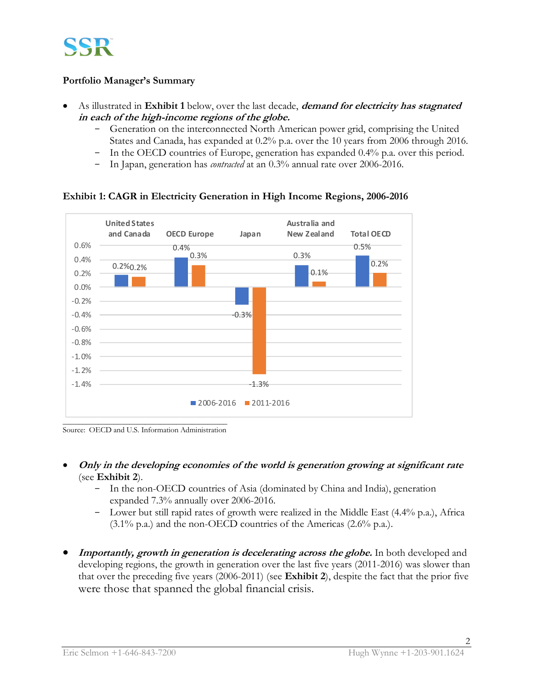

## **Portfolio Manager's Summary**

- As illustrated in **Exhibit 1** below, over the last decade, **demand for electricity has stagnated in each of the high-income regions of the globe.** 
	- Generation on the interconnected North American power grid, comprising the United States and Canada, has expanded at 0.2% p.a. over the 10 years from 2006 through 2016.
	- In the OECD countries of Europe, generation has expanded 0.4% p.a. over this period.
	- In Japan, generation has *contracted* at an 0.3% annual rate over 2006-2016.



## **Exhibit 1: CAGR in Electricity Generation in High Income Regions, 2006-2016**

Source: OECD and U.S. Information Administration

- **Only in the developing economies of the world is generation growing at significant rate**  (see **Exhibit 2**).
	- In the non-OECD countries of Asia (dominated by China and India), generation expanded 7.3% annually over 2006-2016.
	- Lower but still rapid rates of growth were realized in the Middle East  $(4.4\%$  p.a.), Africa  $(3.1\% \text{ p.a.})$  and the non-OECD countries of the Americas  $(2.6\% \text{ p.a.})$ .
- **Importantly, growth in generation is decelerating across the globe.** In both developed and developing regions, the growth in generation over the last five years (2011-2016) was slower than that over the preceding five years (2006-2011) (see **Exhibit 2**), despite the fact that the prior five were those that spanned the global financial crisis.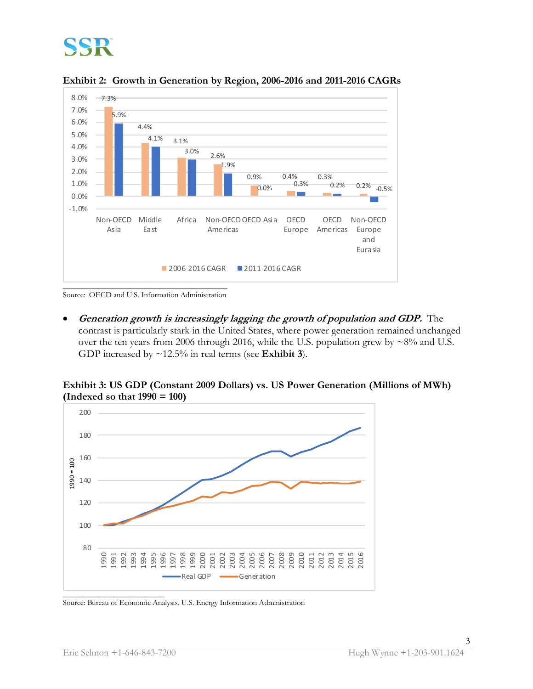

**Exhibit 2: Growth in Generation by Region, 2006-2016 and 2011-2016 CAGRs**

Source: OECD and U.S. Information Administration

• **Generation growth is increasingly lagging the growth of population and GDP.** The contrast is particularly stark in the United States, where power generation remained unchanged over the ten years from 2006 through 2016, while the U.S. population grew by  $\sim8\%$  and U.S. GDP increased by ~12.5% in real terms (see **Exhibit 3**).

**Exhibit 3: US GDP (Constant 2009 Dollars) vs. US Power Generation (Millions of MWh) (Indexed so that 1990 = 100)**



\_\_\_\_\_\_\_\_\_\_\_\_\_\_\_\_\_\_\_\_\_\_\_\_\_\_ Source: Bureau of Economic Analysis, U.S. Energy Information Administration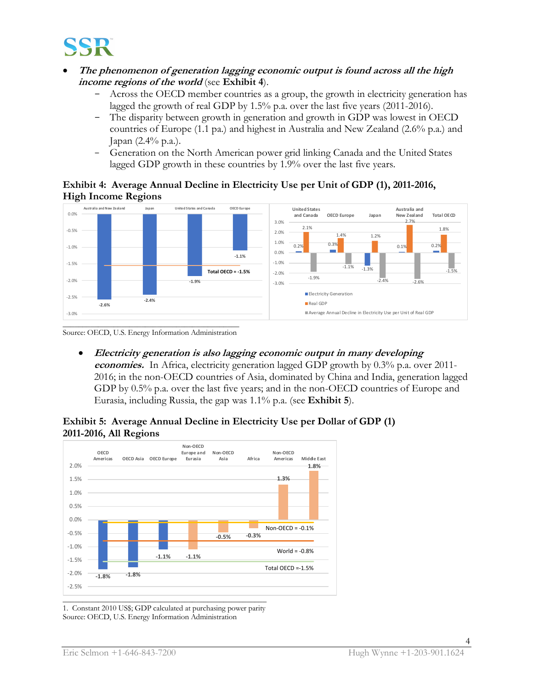

- **The phenomenon of generation lagging economic output is found across all the high income regions of the world** (see **Exhibit 4**).
	- Across the OECD member countries as a group, the growth in electricity generation has lagged the growth of real GDP by 1.5% p.a. over the last five years (2011-2016).
	- The disparity between growth in generation and growth in GDP was lowest in OECD countries of Europe (1.1 pa.) and highest in Australia and New Zealand (2.6% p.a.) and Japan (2.4% p.a.).
	- Generation on the North American power grid linking Canada and the United States lagged GDP growth in these countries by 1.9% over the last five years.

## **Exhibit 4: Average Annual Decline in Electricity Use per Unit of GDP (1), 2011-2016, High Income Regions**



Source: OECD, U.S. Energy Information Administration

• **Electricity generation is also lagging economic output in many developing economies.** In Africa, electricity generation lagged GDP growth by 0.3% p.a. over 2011- 2016; in the non-OECD countries of Asia, dominated by China and India, generation lagged GDP by 0.5% p.a. over the last five years; and in the non-OECD countries of Europe and Eurasia, including Russia, the gap was 1.1% p.a. (see **Exhibit 5**).

## **Exhibit 5: Average Annual Decline in Electricity Use per Dollar of GDP (1) 2011-2016, All Regions**



1. Constant 2010 US\$; GDP calculated at purchasing power parity Source: OECD, U.S. Energy Information Administration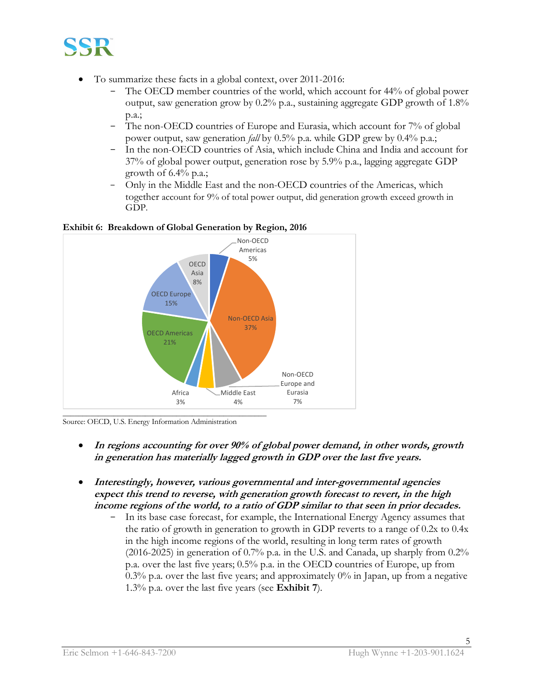

- To summarize these facts in a global context, over 2011-2016:
	- The OECD member countries of the world, which account for 44% of global power output, saw generation grow by  $0.2\%$  p.a., sustaining aggregate GDP growth of  $1.8\%$ p.a.;
	- The non-OECD countries of Europe and Eurasia, which account for 7% of global power output, saw generation *fall* by 0.5% p.a. while GDP grew by 0.4% p.a.;
	- In the non-OECD countries of Asia, which include China and India and account for 37% of global power output, generation rose by 5.9% p.a., lagging aggregate GDP growth of  $6.4\%$  p.a.;
	- Only in the Middle East and the non-OECD countries of the Americas, which together account for 9% of total power output, did generation growth exceed growth in GDP.





Source: OECD, U.S. Energy Information Administration

- **In regions accounting for over 90% of global power demand, in other words, growth in generation has materially lagged growth in GDP over the last five years.**
- **Interestingly, however, various governmental and inter-governmental agencies expect this trend to reverse, with generation growth forecast to revert, in the high income regions of the world, to a ratio of GDP similar to that seen in prior decades.**
	- In its base case forecast, for example, the International Energy Agency assumes that the ratio of growth in generation to growth in GDP reverts to a range of 0.2x to 0.4x in the high income regions of the world, resulting in long term rates of growth (2016-2025) in generation of 0.7% p.a. in the U.S. and Canada, up sharply from 0.2% p.a. over the last five years; 0.5% p.a. in the OECD countries of Europe, up from 0.3% p.a. over the last five years; and approximately  $0\%$  in Japan, up from a negative 1.3% p.a. over the last five years (see **Exhibit 7**).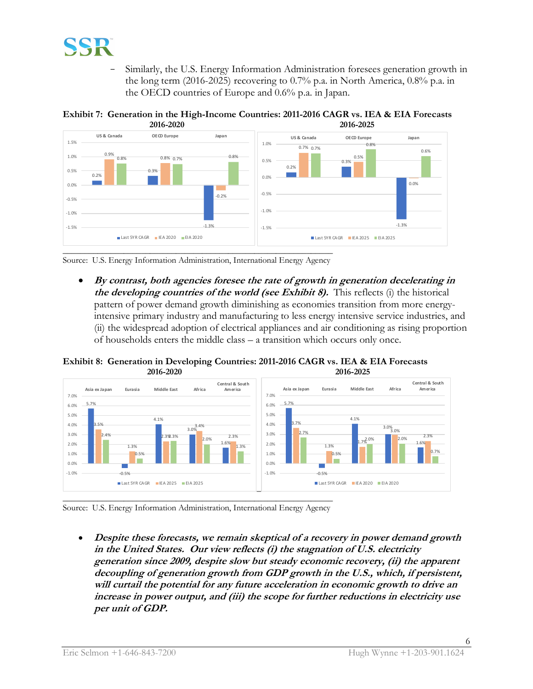

- Similarly, the U.S. Energy Information Administration foresees generation growth in the long term (2016-2025) recovering to 0.7% p.a. in North America, 0.8% p.a. in the OECD countries of Europe and 0.6% p.a. in Japan.





Source: U.S. Energy Information Administration, International Energy Agency

• **By contrast, both agencies foresee the rate of growth in generation decelerating in the developing countries of the world (see Exhibit 8).** This reflects (i) the historical pattern of power demand growth diminishing as economies transition from more energyintensive primary industry and manufacturing to less energy intensive service industries, and (ii) the widespread adoption of electrical appliances and air conditioning as rising proportion of households enters the middle class – a transition which occurs only once.

**Exhibit 8: Generation in Developing Countries: 2011-2016 CAGR vs. IEA & EIA Forecasts 2016-2020 2016-2025**



Source: U.S. Energy Information Administration, International Energy Agency

• **Despite these forecasts, we remain skeptical of a recovery in power demand growth in the United States. Our view reflects (i) the stagnation of U.S. electricity generation since 2009, despite slow but steady economic recovery, (ii) the apparent decoupling of generation growth from GDP growth in the U.S., which, if persistent, will curtail the potential for any future acceleration in economic growth to drive an increase in power output, and (iii) the scope for further reductions in electricity use per unit of GDP.**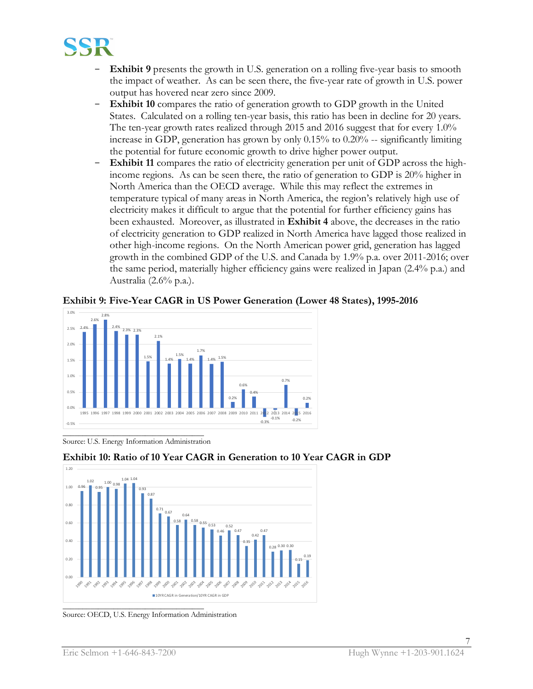

- **Exhibit 9** presents the growth in U.S. generation on a rolling five-year basis to smooth the impact of weather. As can be seen there, the five-year rate of growth in U.S. power output has hovered near zero since 2009.
- **Exhibit 10** compares the ratio of generation growth to GDP growth in the United States. Calculated on a rolling ten-year basis, this ratio has been in decline for 20 years. The ten-year growth rates realized through 2015 and 2016 suggest that for every 1.0% increase in GDP, generation has grown by only 0.15% to 0.20% -- significantly limiting the potential for future economic growth to drive higher power output.
- **Exhibit 11** compares the ratio of electricity generation per unit of GDP across the highincome regions. As can be seen there, the ratio of generation to GDP is 20% higher in North America than the OECD average. While this may reflect the extremes in temperature typical of many areas in North America, the region's relatively high use of electricity makes it difficult to argue that the potential for further efficiency gains has been exhausted. Moreover, as illustrated in **Exhibit 4** above, the decreases in the ratio of electricity generation to GDP realized in North America have lagged those realized in other high-income regions. On the North American power grid, generation has lagged growth in the combined GDP of the U.S. and Canada by 1.9% p.a. over 2011-2016; over the same period, materially higher efficiency gains were realized in Japan (2.4% p.a.) and Australia (2.6% p.a.).

**Exhibit 9: Five-Year CAGR in US Power Generation (Lower 48 States), 1995-2016**



Source: U.S. Energy Information Administration



**Exhibit 10: Ratio of 10 Year CAGR in Generation to 10 Year CAGR in GDP**

Source: OECD, U.S. Energy Information Administration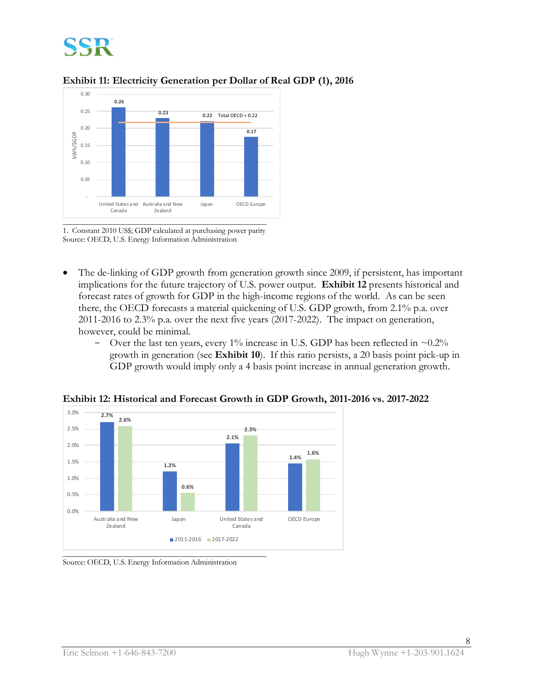





1. Constant 2010 US\$; GDP calculated at purchasing power parity Source: OECD, U.S. Energy Information Administration

- The de-linking of GDP growth from generation growth since 2009, if persistent, has important implications for the future trajectory of U.S. power output. **Exhibit 12** presents historical and forecast rates of growth for GDP in the high-income regions of the world. As can be seen there, the OECD forecasts a material quickening of U.S. GDP growth, from 2.1% p.a. over 2011-2016 to 2.3% p.a. over the next five years (2017-2022). The impact on generation, however, could be minimal.
	- Over the last ten years, every 1% increase in U.S. GDP has been reflected in  $\sim 0.2\%$ growth in generation (see **Exhibit 10**). If this ratio persists, a 20 basis point pick-up in GDP growth would imply only a 4 basis point increase in annual generation growth.



**Exhibit 12: Historical and Forecast Growth in GDP Growth, 2011-2016 vs. 2017-2022**

Source: OECD, U.S. Energy Information Administration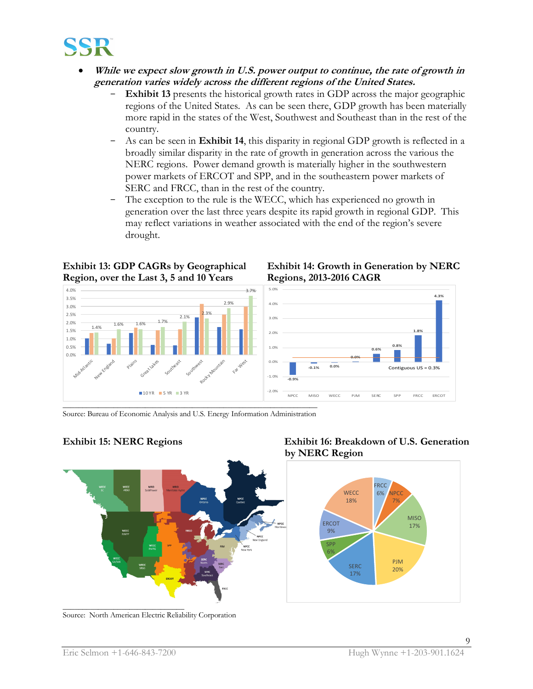

- **While we expect slow growth in U.S. power output to continue, the rate of growth in generation varies widely across the different regions of the United States.** 
	- **Exhibit 13** presents the historical growth rates in GDP across the major geographic regions of the United States. As can be seen there, GDP growth has been materially more rapid in the states of the West, Southwest and Southeast than in the rest of the country.
	- As can be seen in **Exhibit 14**, this disparity in regional GDP growth is reflected in a broadly similar disparity in the rate of growth in generation across the various the NERC regions. Power demand growth is materially higher in the southwestern power markets of ERCOT and SPP, and in the southeastern power markets of SERC and FRCC, than in the rest of the country.
	- The exception to the rule is the WECC, which has experienced no growth in generation over the last three years despite its rapid growth in regional GDP. This may reflect variations in weather associated with the end of the region's severe drought.

## **Region, over the Last 3, 5 and 10 Years Regions, 2013-2016 CAGR**



# **Exhibit 13: GDP CAGRs by Geographical Exhibit 14: Growth in Generation by NERC**



Source: Bureau of Economic Analysis and U.S. Energy Information Administration



Source: North American Electric Reliability Corporation

## **Exhibit 15: NERC Regions Exhibit 16: Breakdown of U.S. Generation by NERC Region**

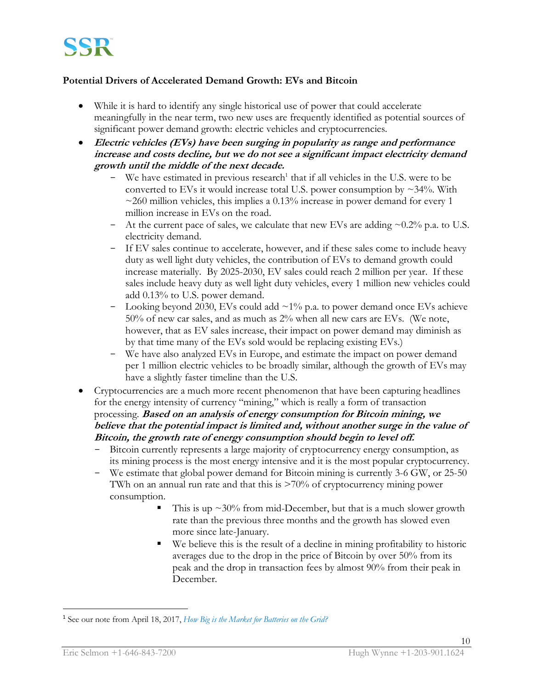

## **Potential Drivers of Accelerated Demand Growth: EVs and Bitcoin**

- While it is hard to identify any single historical use of power that could accelerate meaningfully in the near term, two new uses are frequently identified as potential sources of significant power demand growth: electric vehicles and cryptocurrencies.
- **Electric vehicles (EVs) have been surging in popularity as range and performance increase and costs decline, but we do not see a significant impact electricity demand growth until the middle of the next decade.**
	- We have estimated in previous research<sup>1</sup> that if all vehicles in the U.S. were to be converted to EVs it would increase total U.S. power consumption by  $\sim$ 34%. With  $\sim$ 260 million vehicles, this implies a 0.13% increase in power demand for every 1 million increase in EVs on the road.
	- At the current pace of sales, we calculate that new EVs are adding  $\sim 0.2\%$  p.a. to U.S. electricity demand.
	- If EV sales continue to accelerate, however, and if these sales come to include heavy duty as well light duty vehicles, the contribution of EVs to demand growth could increase materially. By 2025-2030, EV sales could reach 2 million per year. If these sales include heavy duty as well light duty vehicles, every 1 million new vehicles could add 0.13% to U.S. power demand.
	- Looking beyond 2030, EVs could add  $\sim$ 1% p.a. to power demand once EVs achieve 50% of new car sales, and as much as 2% when all new cars are EVs. (We note, however, that as EV sales increase, their impact on power demand may diminish as by that time many of the EVs sold would be replacing existing EVs.)
	- We have also analyzed EVs in Europe, and estimate the impact on power demand per 1 million electric vehicles to be broadly similar, although the growth of EVs may have a slightly faster timeline than the U.S.
- Cryptocurrencies are a much more recent phenomenon that have been capturing headlines for the energy intensity of currency "mining," which is really a form of transaction processing. **Based on an analysis of energy consumption for Bitcoin mining, we believe that the potential impact is limited and, without another surge in the value of Bitcoin, the growth rate of energy consumption should begin to level off.**
	- Bitcoin currently represents a large majority of cryptocurrency energy consumption, as its mining process is the most energy intensive and it is the most popular cryptocurrency.
	- We estimate that global power demand for Bitcoin mining is currently 3-6 GW, or 25-50 TWh on an annual run rate and that this is >70% of cryptocurrency mining power consumption.
		- This is up  $\approx 30\%$  from mid-December, but that is a much slower growth rate than the previous three months and the growth has slowed even more since late-January.
		- We believe this is the result of a decline in mining profitability to historic averages due to the drop in the price of Bitcoin by over 50% from its peak and the drop in transaction fees by almost 90% from their peak in December.

 $\overline{a}$ 

<sup>1</sup> See our note from April 18, 2017, *How Big is the Market for Batteries on the Grid?*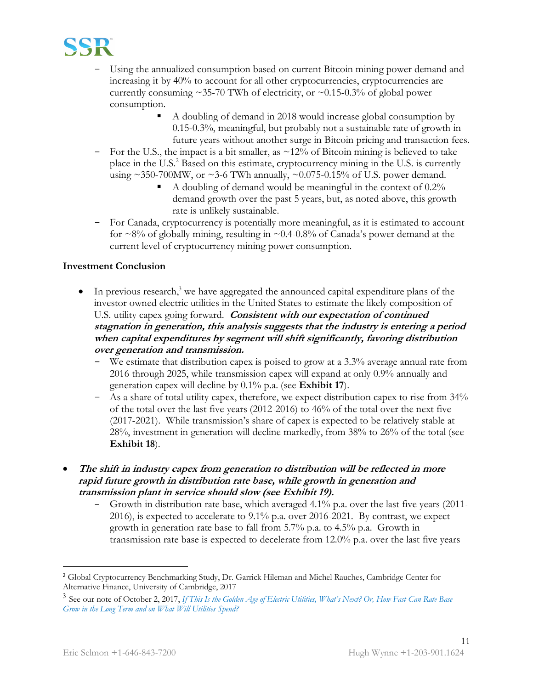

- Using the annualized consumption based on current Bitcoin mining power demand and increasing it by 40% to account for all other cryptocurrencies, cryptocurrencies are currently consuming  $\sim$ 35-70 TWh of electricity, or  $\sim$ 0.15-0.3% of global power consumption.
	- A doubling of demand in 2018 would increase global consumption by 0.15-0.3%, meaningful, but probably not a sustainable rate of growth in future years without another surge in Bitcoin pricing and transaction fees.
- For the U.S., the impact is a bit smaller, as ~12% of Bitcoin mining is believed to take place in the U.S.<sup>2</sup> Based on this estimate, cryptocurrency mining in the U.S. is currently using  $\sim$  350-700MW, or  $\sim$  3-6 TWh annually,  $\sim$  0.075-0.15% of U.S. power demand.
	- A doubling of demand would be meaningful in the context of  $0.2\%$ demand growth over the past 5 years, but, as noted above, this growth rate is unlikely sustainable.
- For Canada, cryptocurrency is potentially more meaningful, as it is estimated to account for  $\sim$ 8% of globally mining, resulting in  $\sim$ 0.4-0.8% of Canada's power demand at the current level of cryptocurrency mining power consumption.

## **Investment Conclusion**

- In previous research,<sup>3</sup> we have aggregated the announced capital expenditure plans of the investor owned electric utilities in the United States to estimate the likely composition of U.S. utility capex going forward. **Consistent with our expectation of continued stagnation in generation, this analysis suggests that the industry is entering a period when capital expenditures by segment will shift significantly, favoring distribution over generation and transmission.** 
	- We estimate that distribution capex is poised to grow at a 3.3% average annual rate from 2016 through 2025, while transmission capex will expand at only 0.9% annually and generation capex will decline by 0.1% p.a. (see **Exhibit 17**).
	- As a share of total utility capex, therefore, we expect distribution capex to rise from 34% of the total over the last five years (2012-2016) to 46% of the total over the next five (2017-2021). While transmission's share of capex is expected to be relatively stable at 28%, investment in generation will decline markedly, from 38% to 26% of the total (see **Exhibit 18**).
- **The shift in industry capex from generation to distribution will be reflected in more rapid future growth in distribution rate base, while growth in generation and transmission plant in service should slow (see Exhibit 19).** 
	- Growth in distribution rate base, which averaged 4.1% p.a. over the last five years (2011-2016), is expected to accelerate to 9.1% p.a. over 2016-2021. By contrast, we expect growth in generation rate base to fall from 5.7% p.a. to 4.5% p.a. Growth in transmission rate base is expected to decelerate from 12.0% p.a. over the last five years

 $\overline{a}$ 

<sup>&</sup>lt;sup>2</sup> Global Cryptocurrency Benchmarking Study, Dr. Garrick Hileman and Michel Rauches, Cambridge Center for Alternative Finance, University of Cambridge, 2017

<sup>3</sup> See our note of October 2, 2017, *If This Is the Golden Age of Electric Utilities, What's Next? Or, How Fast Can Rate Base Grow in the Long Term and on What Will Utilities Spend?*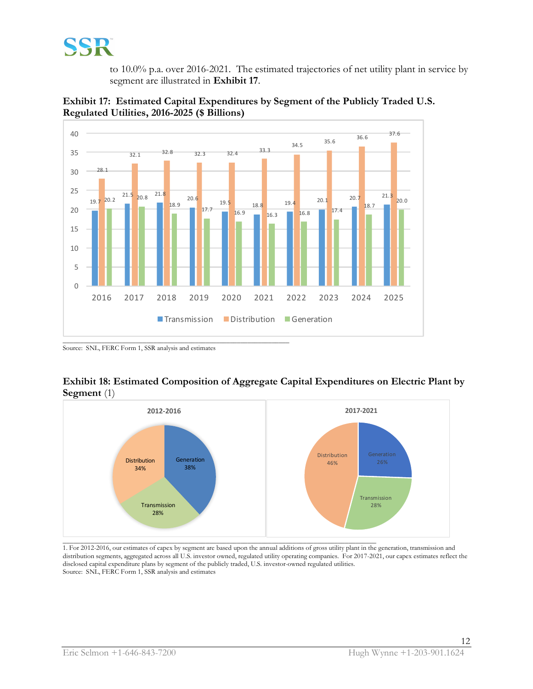

to 10.0% p.a. over 2016-2021. The estimated trajectories of net utility plant in service by segment are illustrated in **Exhibit 17**.





Source: SNL, FERC Form 1, SSR analysis and estimates





 $\_$  . The contribution of the contribution of the contribution of the contribution of the contribution of the contribution of  $\mathcal{L}_\text{max}$ 1. For 2012-2016, our estimates of capex by segment are based upon the annual additions of gross utility plant in the generation, transmission and distribution segments, aggregated across all U.S. investor owned, regulated utility operating companies. For 2017-2021, our capex estimates reflect the disclosed capital expenditure plans by segment of the publicly traded, U.S. investor-owned regulated utilities. Source: SNL, FERC Form 1, SSR analysis and estimates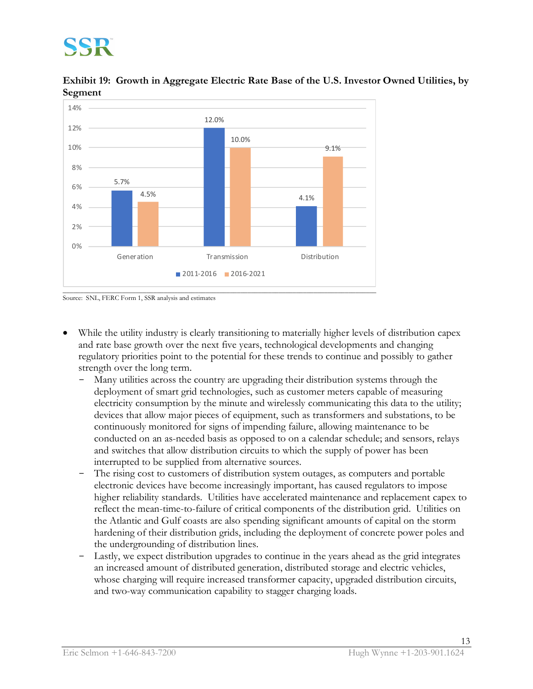**Exhibit 19: Growth in Aggregate Electric Rate Base of the U.S. Investor Owned Utilities, by Segment**





- While the utility industry is clearly transitioning to materially higher levels of distribution capex and rate base growth over the next five years, technological developments and changing regulatory priorities point to the potential for these trends to continue and possibly to gather strength over the long term.
	- Many utilities across the country are upgrading their distribution systems through the deployment of smart grid technologies, such as customer meters capable of measuring electricity consumption by the minute and wirelessly communicating this data to the utility; devices that allow major pieces of equipment, such as transformers and substations, to be continuously monitored for signs of impending failure, allowing maintenance to be conducted on an as-needed basis as opposed to on a calendar schedule; and sensors, relays and switches that allow distribution circuits to which the supply of power has been interrupted to be supplied from alternative sources.
	- The rising cost to customers of distribution system outages, as computers and portable electronic devices have become increasingly important, has caused regulators to impose higher reliability standards. Utilities have accelerated maintenance and replacement capex to reflect the mean-time-to-failure of critical components of the distribution grid. Utilities on the Atlantic and Gulf coasts are also spending significant amounts of capital on the storm hardening of their distribution grids, including the deployment of concrete power poles and the undergrounding of distribution lines.
	- Lastly, we expect distribution upgrades to continue in the years ahead as the grid integrates an increased amount of distributed generation, distributed storage and electric vehicles, whose charging will require increased transformer capacity, upgraded distribution circuits, and two-way communication capability to stagger charging loads.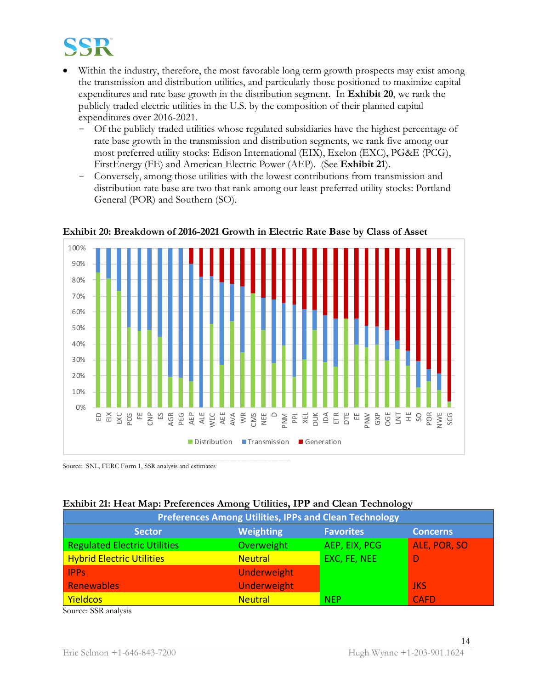

- Within the industry, therefore, the most favorable long term growth prospects may exist among the transmission and distribution utilities, and particularly those positioned to maximize capital expenditures and rate base growth in the distribution segment. In **Exhibit 20**, we rank the publicly traded electric utilities in the U.S. by the composition of their planned capital expenditures over 2016-2021.
	- Of the publicly traded utilities whose regulated subsidiaries have the highest percentage of rate base growth in the transmission and distribution segments, we rank five among our most preferred utility stocks: Edison International (EIX), Exelon (EXC), PG&E (PCG), FirstEnergy (FE) and American Electric Power (AEP). (See **Exhibit 21**).
	- Conversely, among those utilities with the lowest contributions from transmission and distribution rate base are two that rank among our least preferred utility stocks: Portland General (POR) and Southern (SO).



**Exhibit 20: Breakdown of 2016-2021 Growth in Electric Rate Base by Class of Asset**

Source: SNL, FERC Form 1, SSR analysis and estimates

| Exhibit 21: Heat Map: Preferences Among Utilities, IPP and Clean Technology |  |  |  |
|-----------------------------------------------------------------------------|--|--|--|
|                                                                             |  |  |  |

| <b>Preferences Among Utilities, IPPs and Clean Technology</b> |                    |                  |                 |  |  |
|---------------------------------------------------------------|--------------------|------------------|-----------------|--|--|
| <b>Sector</b>                                                 | <b>Weighting</b>   | <b>Favorites</b> | <b>Concerns</b> |  |  |
| <b>Regulated Electric Utilities</b>                           | Overweight         | AEP, EIX, PCG    | ALE, POR, SO    |  |  |
| <b>Hybrid Electric Utilities</b>                              | <b>Neutral</b>     | EXC, FE, NEE     |                 |  |  |
| <b>IPPs</b>                                                   | Underweight        |                  |                 |  |  |
| Renewables                                                    | <b>Underweight</b> |                  | <b>JKS</b>      |  |  |
| <b>Yieldcos</b>                                               | <b>Neutral</b>     | <b>NEP</b>       | <b>CAFD</b>     |  |  |

Source: SSR analysis